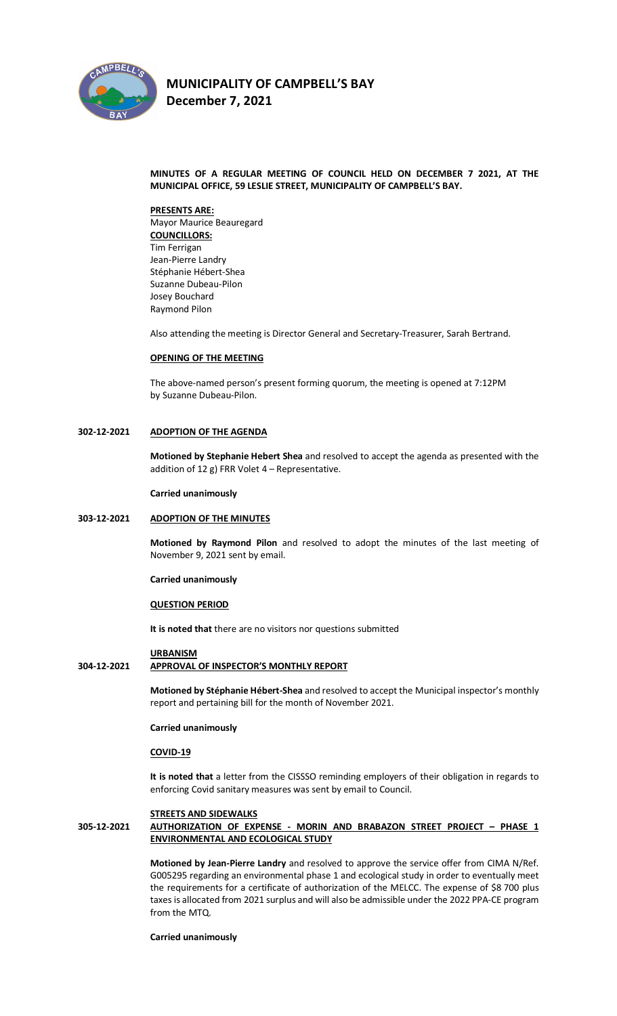

**December 7, 2021** 

# **MINUTES OF A REGULAR MEETING OF COUNCIL HELD ON DECEMBER 7 2021, AT THE MUNICIPAL OFFICE, 59 LESLIE STREET, MUNICIPALITY OF CAMPBELL'S BAY.**

#### **PRESENTS ARE:**

Mayor Maurice Beauregard **COUNCILLORS:** Tim Ferrigan Jean-Pierre Landry Stéphanie Hébert-Shea Suzanne Dubeau-Pilon Josey Bouchard Raymond Pilon

Also attending the meeting is Director General and Secretary-Treasurer, Sarah Bertrand.

#### **OPENING OF THE MEETING**

The above-named person's present forming quorum, the meeting is opened at 7:12PM by Suzanne Dubeau-Pilon.

# **302-12-2021 ADOPTION OF THE AGENDA**

**Motioned by Stephanie Hebert Shea** and resolved to accept the agenda as presented with the addition of 12 g) FRR Volet 4 – Representative.

#### **Carried unanimously**

# **303-12-2021 ADOPTION OF THE MINUTES**

**Motioned by Raymond Pilon** and resolved to adopt the minutes of the last meeting of November 9, 2021 sent by email.

**Carried unanimously**

#### **QUESTION PERIOD**

**It is noted that** there are no visitors nor questions submitted

## **URBANISM**

# **304-12-2021 APPROVAL OF INSPECTOR'S MONTHLY REPORT**

**Motioned by Stéphanie Hébert-Shea** and resolved to accept the Municipal inspector's monthly report and pertaining bill for the month of November 2021.

#### **Carried unanimously**

#### **COVID-19**

**It is noted that** a letter from the CISSSO reminding employers of their obligation in regards to enforcing Covid sanitary measures was sent by email to Council.

#### **STREETS AND SIDEWALKS**

# **305-12-2021 AUTHORIZATION OF EXPENSE - MORIN AND BRABAZON STREET PROJECT – PHASE 1 ENVIRONMENTAL AND ECOLOGICAL STUDY**

**Motioned by Jean-Pierre Landry** and resolved to approve the service offer from CIMA N/Ref. G005295 regarding an environmental phase 1 and ecological study in order to eventually meet the requirements for a certificate of authorization of the MELCC. The expense of \$8 700 plus taxes is allocated from 2021 surplus and will also be admissible under the 2022 PPA-CE program from the MTQ.

**Carried unanimously**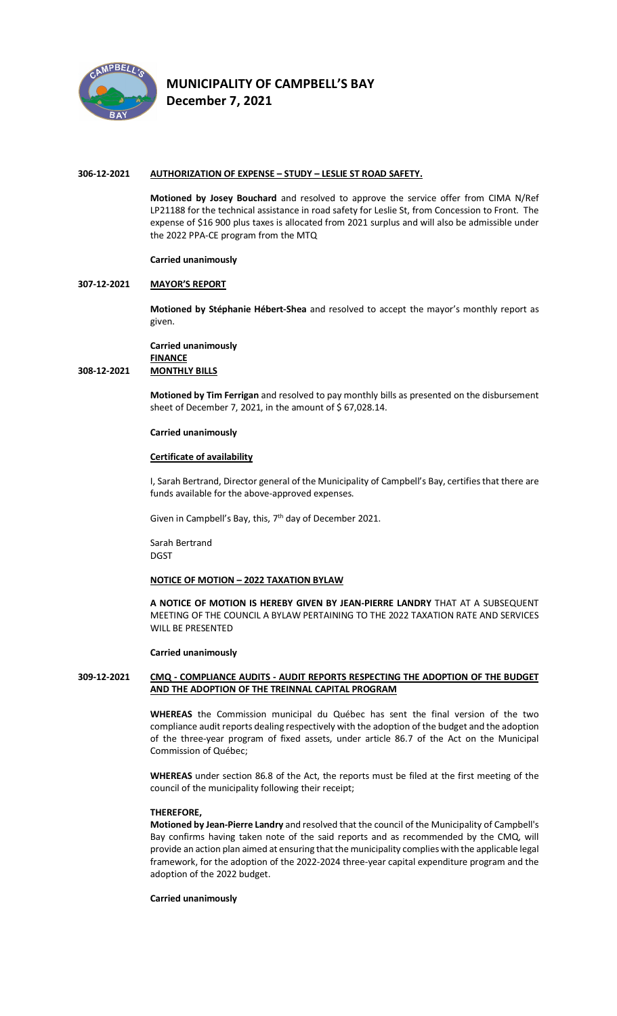

**December 7, 2021** 

## **306-12-2021 AUTHORIZATION OF EXPENSE – STUDY – LESLIE ST ROAD SAFETY.**

**Motioned by Josey Bouchard** and resolved to approve the service offer from CIMA N/Ref LP21188 for the technical assistance in road safety for Leslie St, from Concession to Front. The expense of \$16 900 plus taxes is allocated from 2021 surplus and will also be admissible under the 2022 PPA-CE program from the MTQ

#### **Carried unanimously**

## **307-12-2021 MAYOR'S REPORT**

**Motioned by Stéphanie Hébert-Shea** and resolved to accept the mayor's monthly report as given.

**Carried unanimously FINANCE 308-12-2021 MONTHLY BILLS**

> **Motioned by Tim Ferrigan** and resolved to pay monthly bills as presented on the disbursement sheet of December 7, 2021, in the amount of \$ 67,028.14.

#### **Carried unanimously**

#### **Certificate of availability**

I, Sarah Bertrand, Director general of the Municipality of Campbell's Bay, certifies that there are funds available for the above-approved expenses.

Given in Campbell's Bay, this, 7<sup>th</sup> day of December 2021.

Sarah Bertrand DGST

# **NOTICE OF MOTION – 2022 TAXATION BYLAW**

**A NOTICE OF MOTION IS HEREBY GIVEN BY JEAN-PIERRE LANDRY** THAT AT A SUBSEQUENT MEETING OF THE COUNCIL A BYLAW PERTAINING TO THE 2022 TAXATION RATE AND SERVICES WILL BE PRESENTED

#### **Carried unanimously**

# **309-12-2021 CMQ - COMPLIANCE AUDITS - AUDIT REPORTS RESPECTING THE ADOPTION OF THE BUDGET AND THE ADOPTION OF THE TREINNAL CAPITAL PROGRAM**

**WHEREAS** the Commission municipal du Québec has sent the final version of the two compliance audit reports dealing respectively with the adoption of the budget and the adoption of the three-year program of fixed assets, under article 86.7 of the Act on the Municipal Commission of Québec;

**WHEREAS** under section 86.8 of the Act, the reports must be filed at the first meeting of the council of the municipality following their receipt;

# **THEREFORE,**

**Motioned by Jean-Pierre Landry** and resolved that the council of the Municipality of Campbell's Bay confirms having taken note of the said reports and as recommended by the CMQ, will provide an action plan aimed at ensuring that the municipality complies with the applicable legal framework, for the adoption of the 2022-2024 three-year capital expenditure program and the adoption of the 2022 budget.

# **Carried unanimously**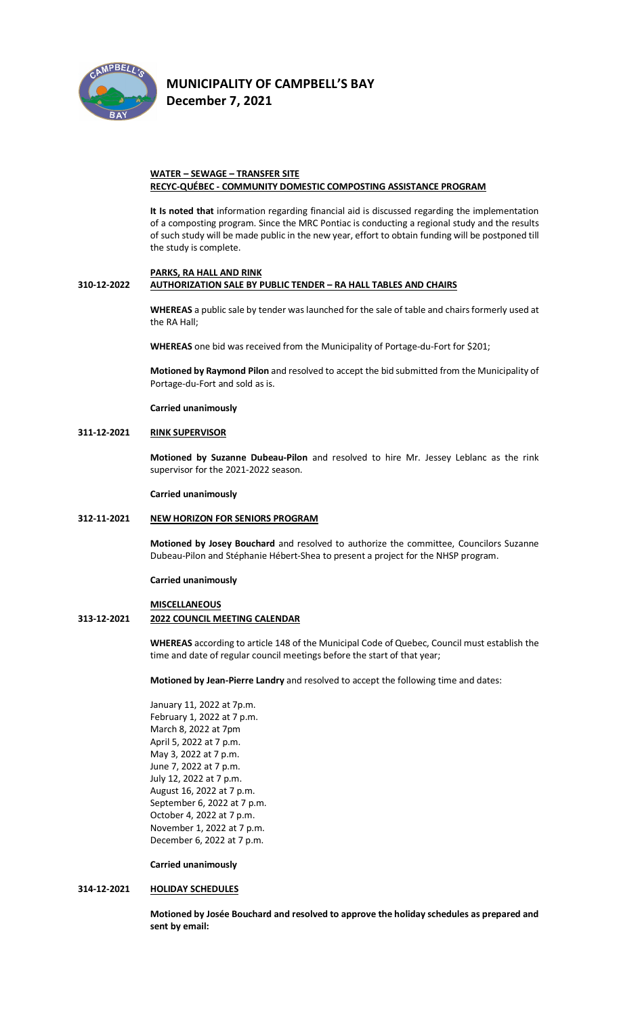

**December 7, 2021** 

# **WATER – SEWAGE – TRANSFER SITE RECYC-QUÉBEC - COMMUNITY DOMESTIC COMPOSTING ASSISTANCE PROGRAM**

**It Is noted that** information regarding financial aid is discussed regarding the implementation of a composting program. Since the MRC Pontiac is conducting a regional study and the results of such study will be made public in the new year, effort to obtain funding will be postponed till the study is complete.

# **PARKS, RA HALL AND RINK**

# **310-12-2022 AUTHORIZATION SALE BY PUBLIC TENDER – RA HALL TABLES AND CHAIRS**

**WHEREAS** a public sale by tender was launched for the sale of table and chairs formerly used at the RA Hall;

**WHEREAS** one bid was received from the Municipality of Portage-du-Fort for \$201;

**Motioned by Raymond Pilon** and resolved to accept the bid submitted from the Municipality of Portage-du-Fort and sold as is.

**Carried unanimously**

# **311-12-2021 RINK SUPERVISOR**

**Motioned by Suzanne Dubeau-Pilon** and resolved to hire Mr. Jessey Leblanc as the rink supervisor for the 2021-2022 season.

**Carried unanimously**

# **312-11-2021 NEW HORIZON FOR SENIORS PROGRAM**

**Motioned by Josey Bouchard** and resolved to authorize the committee, Councilors Suzanne Dubeau-Pilon and Stéphanie Hébert-Shea to present a project for the NHSP program.

**Carried unanimously**

# **MISCELLANEOUS**

# **313-12-2021 2022 COUNCIL MEETING CALENDAR**

**WHEREAS** according to article 148 of the Municipal Code of Quebec, Council must establish the time and date of regular council meetings before the start of that year;

**Motioned by Jean-Pierre Landry** and resolved to accept the following time and dates:

January 11, 2022 at 7p.m. February 1, 2022 at 7 p.m. March 8, 2022 at 7pm April 5, 2022 at 7 p.m. May 3, 2022 at 7 p.m. June 7, 2022 at 7 p.m. July 12, 2022 at 7 p.m. August 16, 2022 at 7 p.m. September 6, 2022 at 7 p.m. October 4, 2022 at 7 p.m. November 1, 2022 at 7 p.m. December 6, 2022 at 7 p.m.

**Carried unanimously**

# **314-12-2021 HOLIDAY SCHEDULES**

**Motioned by Josée Bouchard and resolved to approve the holiday schedules as prepared and sent by email:**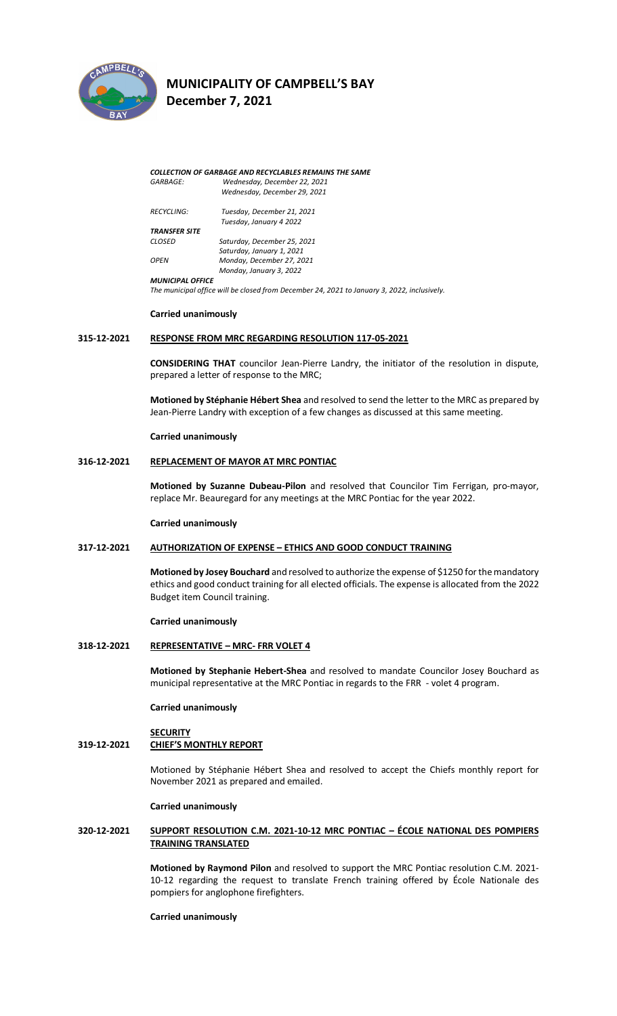

**December 7, 2021** 

*COLLECTION OF GARBAGE AND RECYCLABLES REMAINS THE SAME GARBAGE: Wednesday, December 22, 2021 Wednesday, December 29, 2021 RECYCLING: Tuesday, December 21, 2021 Tuesday, January 4 2022 TRANSFER SITE CLOSED Saturday, December 25, 2021 Saturday, January 1, 2021 OPEN Monday, December 27, 2021 Monday, January 3, 2022 MUNICIPAL OFFICE The municipal office will be closed from December 24, 2021 to January 3, 2022, inclusively.*

#### **Carried unanimously**

#### **315-12-2021 RESPONSE FROM MRC REGARDING RESOLUTION 117-05-2021**

**CONSIDERING THAT** councilor Jean-Pierre Landry, the initiator of the resolution in dispute, prepared a letter of response to the MRC;

**Motioned by Stéphanie Hébert Shea** and resolved to send the letter to the MRC as prepared by Jean-Pierre Landry with exception of a few changes as discussed at this same meeting.

#### **Carried unanimously**

# **316-12-2021 REPLACEMENT OF MAYOR AT MRC PONTIAC**

**Motioned by Suzanne Dubeau-Pilon** and resolved that Councilor Tim Ferrigan, pro-mayor, replace Mr. Beauregard for any meetings at the MRC Pontiac for the year 2022.

#### **Carried unanimously**

#### **317-12-2021 AUTHORIZATION OF EXPENSE – ETHICS AND GOOD CONDUCT TRAINING**

**Motioned by Josey Bouchard** and resolved to authorize the expense of \$1250 for the mandatory ethics and good conduct training for all elected officials. The expense is allocated from the 2022 Budget item Council training.

#### **Carried unanimously**

#### **318-12-2021 REPRESENTATIVE – MRC- FRR VOLET 4**

**Motioned by Stephanie Hebert-Shea** and resolved to mandate Councilor Josey Bouchard as municipal representative at the MRC Pontiac in regards to the FRR - volet 4 program.

**Carried unanimously**

# **SECURITY**

# **319-12-2021 CHIEF'S MONTHLY REPORT**

Motioned by Stéphanie Hébert Shea and resolved to accept the Chiefs monthly report for November 2021 as prepared and emailed.

#### **Carried unanimously**

# **320-12-2021 SUPPORT RESOLUTION C.M. 2021-10-12 MRC PONTIAC – ÉCOLE NATIONAL DES POMPIERS TRAINING TRANSLATED**

**Motioned by Raymond Pilon** and resolved to support the MRC Pontiac resolution C.M. 2021- 10-12 regarding the request to translate French training offered by École Nationale des pompiers for anglophone firefighters.

#### **Carried unanimously**